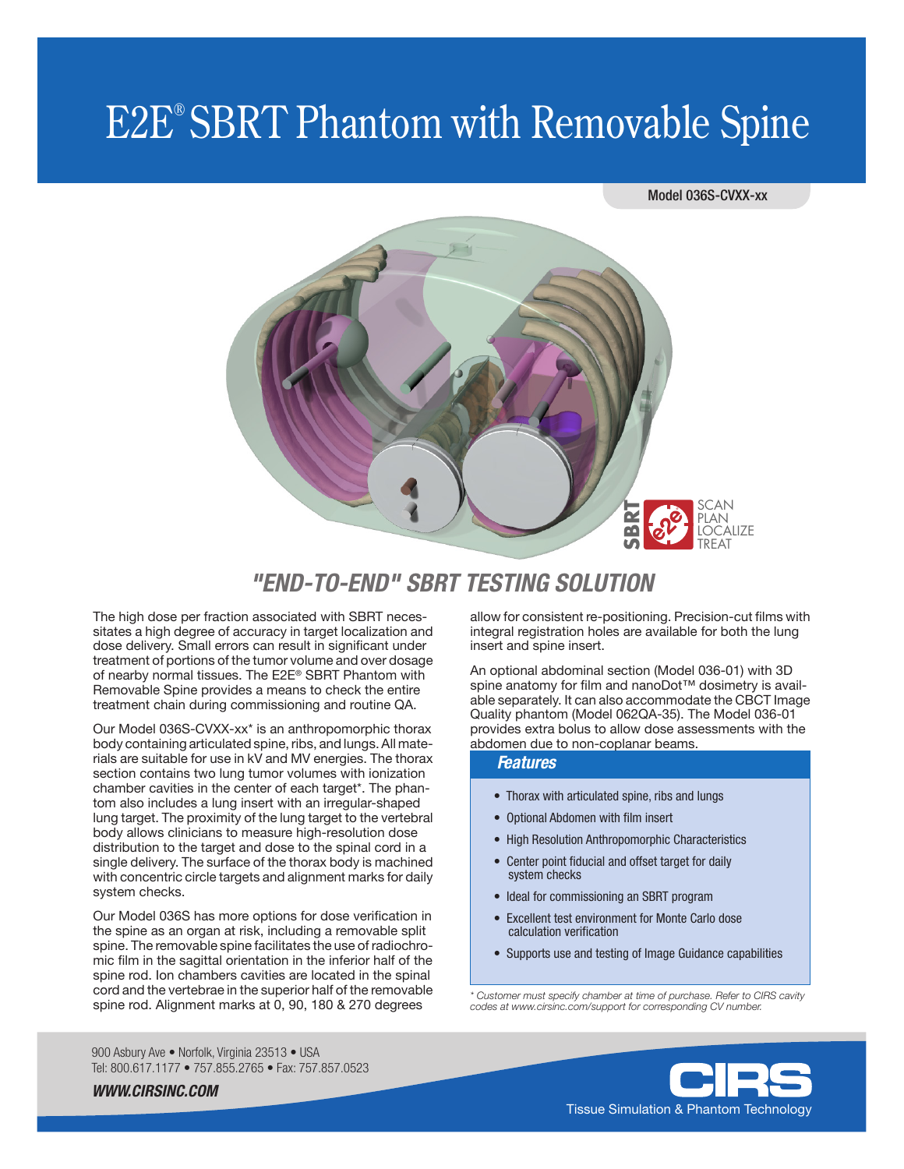# E2E® SBRT Phantom with Removable Spine

### Model 036S-CVXX-xx



# *"END-TO-END" SBRT TESTING SOLUTION*

The high dose per fraction associated with SBRT necessitates a high degree of accuracy in target localization and dose delivery. Small errors can result in significant under treatment of portions of the tumor volume and over dosage of nearby normal tissues. The E2E® SBRT Phantom with Removable Spine provides a means to check the entire treatment chain during commissioning and routine QA.

Our Model 036S-CVXX-xx\* is an anthropomorphic thorax body containing articulated spine, ribs, and lungs. All materials are suitable for use in kV and MV energies. The thorax section contains two lung tumor volumes with ionization chamber cavities in the center of each target\*. The phantom also includes a lung insert with an irregular-shaped lung target. The proximity of the lung target to the vertebral body allows clinicians to measure high-resolution dose distribution to the target and dose to the spinal cord in a single delivery. The surface of the thorax body is machined with concentric circle targets and alignment marks for daily system checks.

Our Model 036S has more options for dose verification in the spine as an organ at risk, including a removable split spine. The removable spine facilitates the use of radiochromic film in the sagittal orientation in the inferior half of the spine rod. Ion chambers cavities are located in the spinal cord and the vertebrae in the superior half of the removable spine rod. Alignment marks at 0, 90, 180 & 270 degrees

allow for consistent re-positioning. Precision-cut films with integral registration holes are available for both the lung insert and spine insert.

An optional abdominal section (Model 036-01) with 3D spine anatomy for film and nanoDot™ dosimetry is available separately. It can also accommodate the CBCT Image Quality phantom (Model 062QA-35). The Model 036-01 provides extra bolus to allow dose assessments with the **ESTING SOLUTION**<br> **ESTING SOLUTION**<br> **ENDING SOLUTION**<br> **ENDING SOLUTION**<br> **ENDING SOLUTION**<br> **ENDING SOLUTION**<br> **ENDING SOLUTION**<br> **ENDING SOLUTION**<br> **ENDING SOLUTION**<br> **ENDING SOLUTION**<br> **ENDING SOLUTION**<br> **ENDING SOLUT** 

### *Features*

- Thorax with articulated spine, ribs and lungs
- Optional Abdomen with film insert
- High Resolution Anthropomorphic Characteristics
- Center point fiducial and offset target for daily system checks
- Ideal for commissioning an SBRT program
- Excellent test environment for Monte Carlo dose calculation verification
- Supports use and testing of Image Guidance capabilities

*\* Customer must specify chamber at time of purchase. Refer to CIRS cavity codes at www.cirsinc.com/support for corresponding CV number.*

900 Asbury Ave · Norfolk, Virginia 23513 · USA Tel: 800.617.1177 • 757.855.2765 • Fax: 757.857.0523



*WWW.CIRSINC.COM*